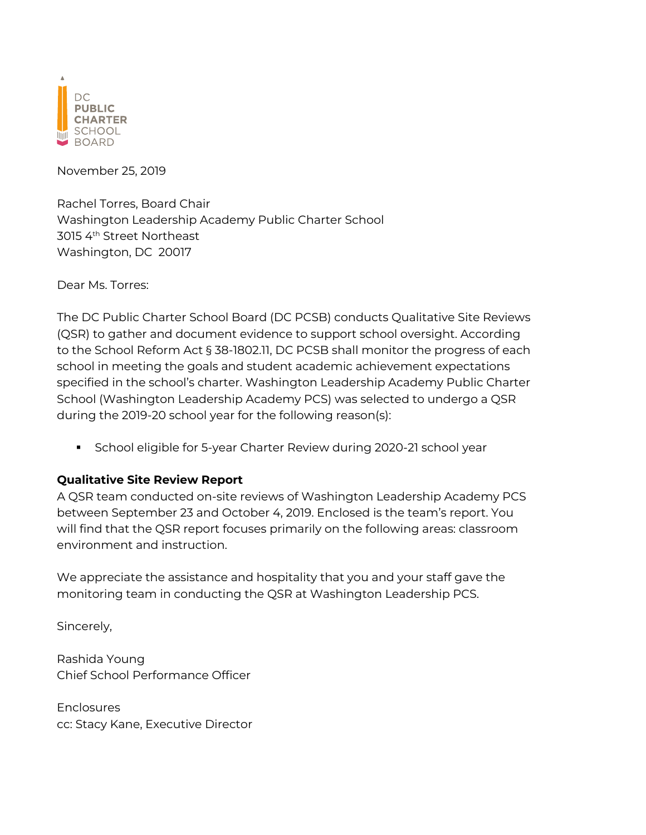

November 25, 2019

Rachel Torres, Board Chair Washington Leadership Academy Public Charter School 3015 4<sup>th</sup> Street Northeast Washington, DC 20017

Dear Ms. Torres:

The DC Public Charter School Board (DC PCSB) conducts Qualitative Site Reviews (QSR) to gather and document evidence to support school oversight. According to the School Reform Act § 38-1802.11, DC PCSB shall monitor the progress of each school in meeting the goals and student academic achievement expectations specified in the school's charter. Washington Leadership Academy Public Charter School (Washington Leadership Academy PCS) was selected to undergo a QSR during the 2019-20 school year for the following reason(s):

§ School eligible for 5-year Charter Review during 2020-21 school year

# **Qualitative Site Review Report**

A QSR team conducted on-site reviews of Washington Leadership Academy PCS between September 23 and October 4, 2019. Enclosed is the team's report. You will find that the QSR report focuses primarily on the following areas: classroom environment and instruction.

We appreciate the assistance and hospitality that you and your staff gave the monitoring team in conducting the QSR at Washington Leadership PCS.

Sincerely,

Rashida Young Chief School Performance Officer

**Enclosures** cc: Stacy Kane, Executive Director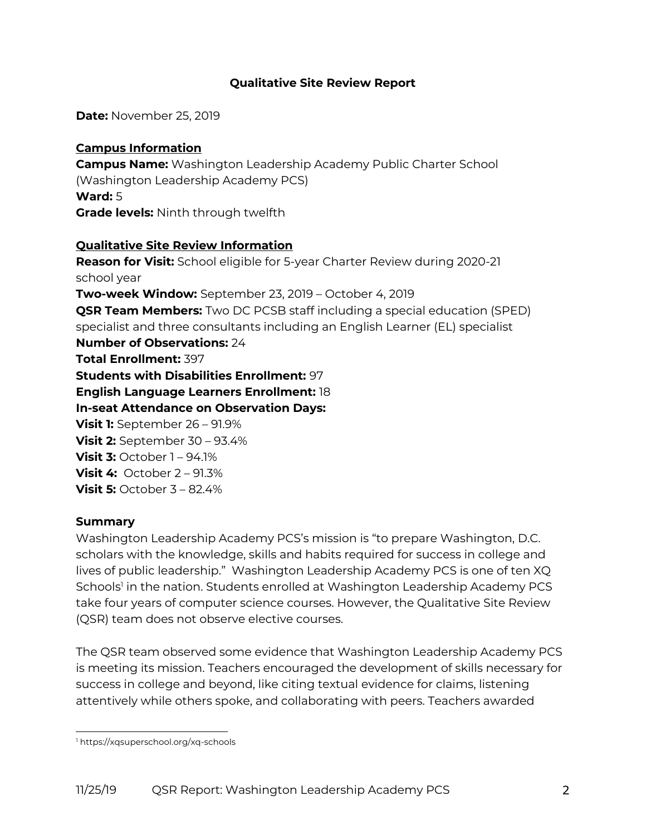## **Qualitative Site Review Report**

**Date:** November 25, 2019

## **Campus Information**

**Campus Name:** Washington Leadership Academy Public Charter School (Washington Leadership Academy PCS) **Ward:** 5 **Grade levels:** Ninth through twelfth

# **Qualitative Site Review Information**

**Reason for Visit:** School eligible for 5-year Charter Review during 2020-21 school year **Two-week Window:** September 23, 2019 – October 4, 2019 **QSR Team Members:** Two DC PCSB staff including a special education (SPED) specialist and three consultants including an English Learner (EL) specialist **Number of Observations:** 24 **Total Enrollment:** 397 **Students with Disabilities Enrollment:** 97 **English Language Learners Enrollment:** 18 **In-seat Attendance on Observation Days: Visit 1:** September 26 – 91.9% **Visit 2:** September 30 – 93.4% **Visit 3:** October 1 – 94.1% **Visit 4:** October 2 – 91.3% **Visit 5:** October 3 – 82.4%

## **Summary**

Washington Leadership Academy PCS's mission is "to prepare Washington, D.C. scholars with the knowledge, skills and habits required for success in college and lives of public leadership." Washington Leadership Academy PCS is one of ten XQ Schools<sup>1</sup> in the nation. Students enrolled at Washington Leadership Academy PCS take four years of computer science courses. However, the Qualitative Site Review (QSR) team does not observe elective courses.

The QSR team observed some evidence that Washington Leadership Academy PCS is meeting its mission. Teachers encouraged the development of skills necessary for success in college and beyond, like citing textual evidence for claims, listening attentively while others spoke, and collaborating with peers. Teachers awarded

<sup>1</sup> https://xqsuperschool.org/xq-schools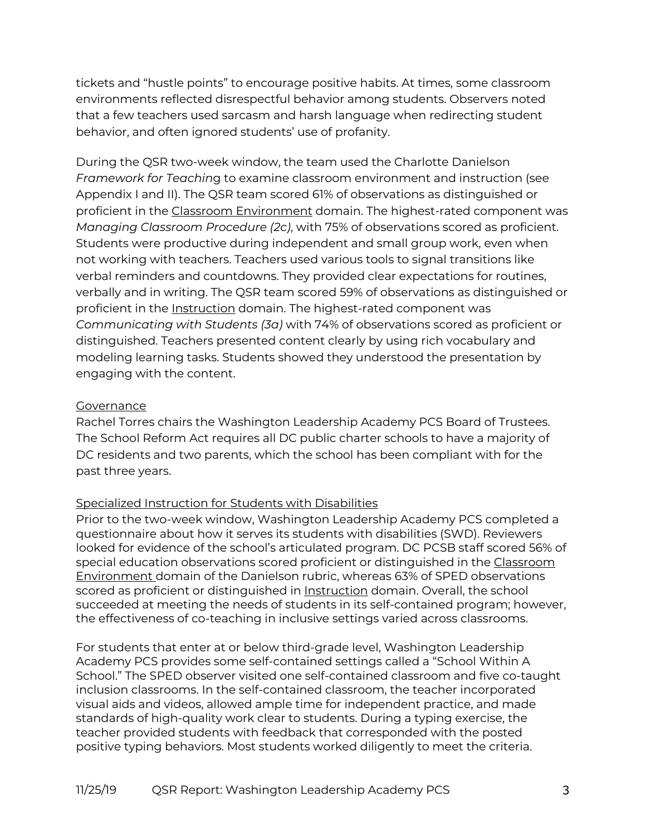tickets and "hustle points" to encourage positive habits. At times, some classroom environments reflected disrespectful behavior among students. Observers noted that a few teachers used sarcasm and harsh language when redirecting student behavior, and often ignored students' use of profanity.

During the QSR two-week window, the team used the Charlotte Danielson *Framework for Teachin*g to examine classroom environment and instruction (see Appendix I and II). The QSR team scored 61% of observations as distinguished or proficient in the Classroom Environment domain. The highest-rated component was *Managing Classroom Procedure (2c)*, with 75% of observations scored as proficient. Students were productive during independent and small group work, even when not working with teachers. Teachers used various tools to signal transitions like verbal reminders and countdowns. They provided clear expectations for routines, verbally and in writing. The QSR team scored 59% of observations as distinguished or proficient in the Instruction domain. The highest-rated component was *Communicating with Students (3a)* with 74% of observations scored as proficient or distinguished. Teachers presented content clearly by using rich vocabulary and modeling learning tasks. Students showed they understood the presentation by engaging with the content.

## **Governance**

Rachel Torres chairs the Washington Leadership Academy PCS Board of Trustees. The School Reform Act requires all DC public charter schools to have a majority of DC residents and two parents, which the school has been compliant with for the past three years.

## Specialized Instruction for Students with Disabilities

Prior to the two-week window, Washington Leadership Academy PCS completed a questionnaire about how it serves its students with disabilities (SWD). Reviewers looked for evidence of the school's articulated program. DC PCSB staff scored 56% of special education observations scored proficient or distinguished in the Classroom Environment domain of the Danielson rubric, whereas 63% of SPED observations scored as proficient or distinguished in **Instruction** domain. Overall, the school succeeded at meeting the needs of students in its self-contained program; however, the effectiveness of co-teaching in inclusive settings varied across classrooms.

For students that enter at or below third-grade level, Washington Leadership Academy PCS provides some self-contained settings called a "School Within A School." The SPED observer visited one self-contained classroom and five co-taught inclusion classrooms. In the self-contained classroom, the teacher incorporated visual aids and videos, allowed ample time for independent practice, and made standards of high-quality work clear to students. During a typing exercise, the teacher provided students with feedback that corresponded with the posted positive typing behaviors. Most students worked diligently to meet the criteria.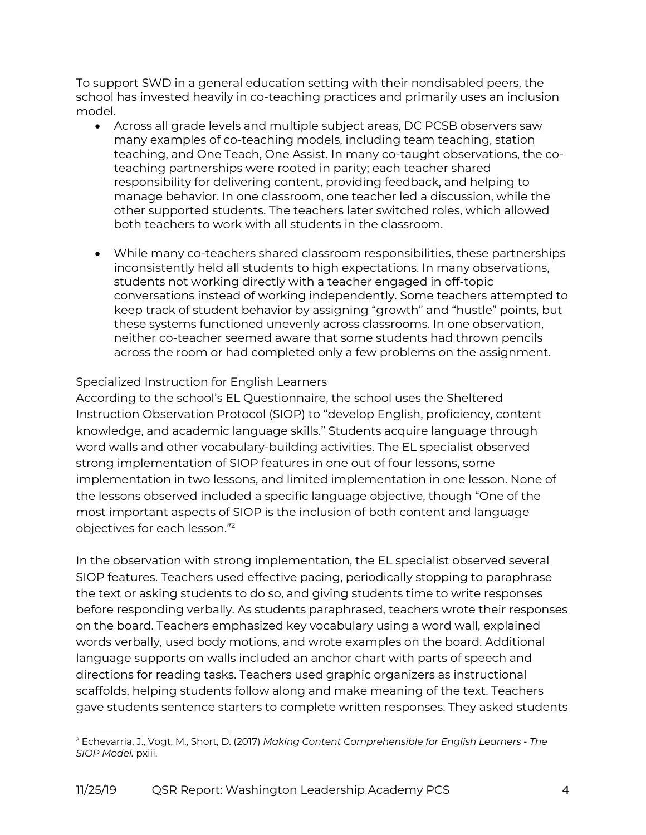To support SWD in a general education setting with their nondisabled peers, the school has invested heavily in co-teaching practices and primarily uses an inclusion model.

- Across all grade levels and multiple subject areas, DC PCSB observers saw many examples of co-teaching models, including team teaching, station teaching, and One Teach, One Assist. In many co-taught observations, the coteaching partnerships were rooted in parity; each teacher shared responsibility for delivering content, providing feedback, and helping to manage behavior. In one classroom, one teacher led a discussion, while the other supported students. The teachers later switched roles, which allowed both teachers to work with all students in the classroom.
- While many co-teachers shared classroom responsibilities, these partnerships inconsistently held all students to high expectations. In many observations, students not working directly with a teacher engaged in off-topic conversations instead of working independently. Some teachers attempted to keep track of student behavior by assigning "growth" and "hustle" points, but these systems functioned unevenly across classrooms. In one observation, neither co-teacher seemed aware that some students had thrown pencils across the room or had completed only a few problems on the assignment.

# Specialized Instruction for English Learners

According to the school's EL Questionnaire, the school uses the Sheltered Instruction Observation Protocol (SIOP) to "develop English, proficiency, content knowledge, and academic language skills." Students acquire language through word walls and other vocabulary-building activities. The EL specialist observed strong implementation of SIOP features in one out of four lessons, some implementation in two lessons, and limited implementation in one lesson. None of the lessons observed included a specific language objective, though "One of the most important aspects of SIOP is the inclusion of both content and language objectives for each lesson."2

In the observation with strong implementation, the EL specialist observed several SIOP features. Teachers used effective pacing, periodically stopping to paraphrase the text or asking students to do so, and giving students time to write responses before responding verbally. As students paraphrased, teachers wrote their responses on the board. Teachers emphasized key vocabulary using a word wall, explained words verbally, used body motions, and wrote examples on the board. Additional language supports on walls included an anchor chart with parts of speech and directions for reading tasks. Teachers used graphic organizers as instructional scaffolds, helping students follow along and make meaning of the text. Teachers gave students sentence starters to complete written responses. They asked students

<sup>2</sup> Echevarria, J., Vogt, M., Short, D. (2017) *Making Content Comprehensible for English Learners - The SIOP Model.* pxiii.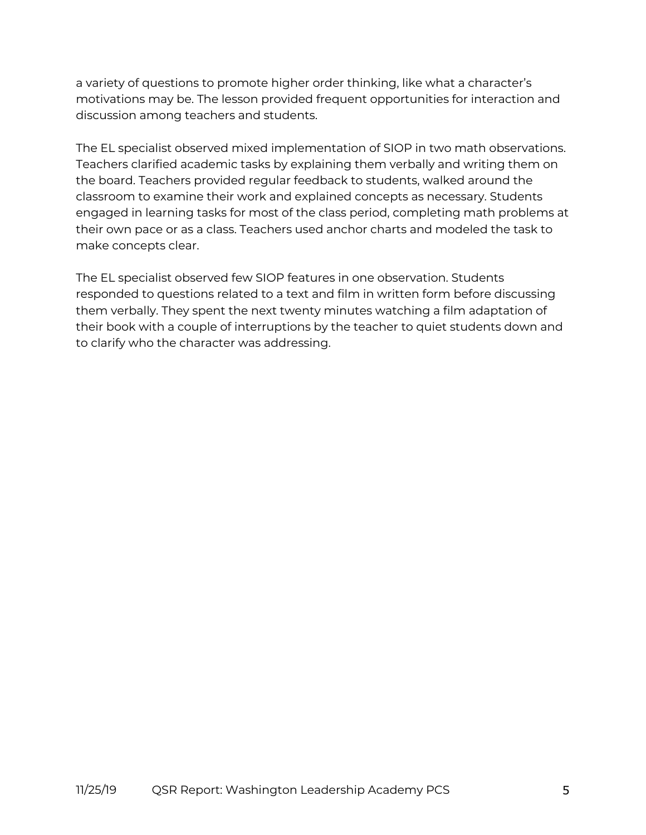a variety of questions to promote higher order thinking, like what a character's motivations may be. The lesson provided frequent opportunities for interaction and discussion among teachers and students.

The EL specialist observed mixed implementation of SIOP in two math observations. Teachers clarified academic tasks by explaining them verbally and writing them on the board. Teachers provided regular feedback to students, walked around the classroom to examine their work and explained concepts as necessary. Students engaged in learning tasks for most of the class period, completing math problems at their own pace or as a class. Teachers used anchor charts and modeled the task to make concepts clear.

The EL specialist observed few SIOP features in one observation. Students responded to questions related to a text and film in written form before discussing them verbally. They spent the next twenty minutes watching a film adaptation of their book with a couple of interruptions by the teacher to quiet students down and to clarify who the character was addressing.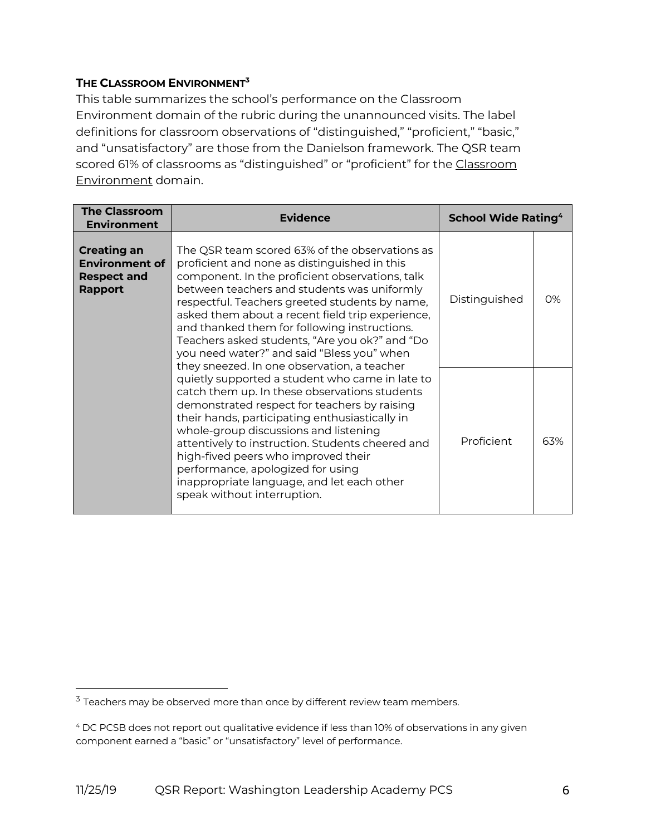## **THE CLASSROOM ENVIRONMENT3**

This table summarizes the school's performance on the Classroom Environment domain of the rubric during the unannounced visits. The label definitions for classroom observations of "distinguished," "proficient," "basic," and "unsatisfactory" are those from the Danielson framework. The QSR team scored 61% of classrooms as "distinguished" or "proficient" for the Classroom Environment domain.

| <b>The Classroom</b><br><b>Environment</b>                                          | <b>Evidence</b>                                                                                                                                                                                                                                                                                                                                                                                                                                                                                       | <b>School Wide Rating<sup>4</sup></b> |     |
|-------------------------------------------------------------------------------------|-------------------------------------------------------------------------------------------------------------------------------------------------------------------------------------------------------------------------------------------------------------------------------------------------------------------------------------------------------------------------------------------------------------------------------------------------------------------------------------------------------|---------------------------------------|-----|
| <b>Creating an</b><br><b>Environment of</b><br><b>Respect and</b><br><b>Rapport</b> | The QSR team scored 63% of the observations as<br>proficient and none as distinguished in this<br>component. In the proficient observations, talk<br>between teachers and students was uniformly<br>respectful. Teachers greeted students by name,<br>asked them about a recent field trip experience,<br>and thanked them for following instructions.<br>Teachers asked students, "Are you ok?" and "Do<br>you need water?" and said "Bless you" when<br>they sneezed. In one observation, a teacher | Distinguished                         | 0%  |
|                                                                                     | quietly supported a student who came in late to<br>catch them up. In these observations students<br>demonstrated respect for teachers by raising<br>their hands, participating enthusiastically in<br>whole-group discussions and listening<br>attentively to instruction. Students cheered and<br>high-fived peers who improved their<br>performance, apologized for using<br>inappropriate language, and let each other<br>speak without interruption.                                              |                                       | 63% |

 $3$  Teachers may be observed more than once by different review team members.

<sup>4</sup> DC PCSB does not report out qualitative evidence if less than 10% of observations in any given component earned a "basic" or "unsatisfactory" level of performance.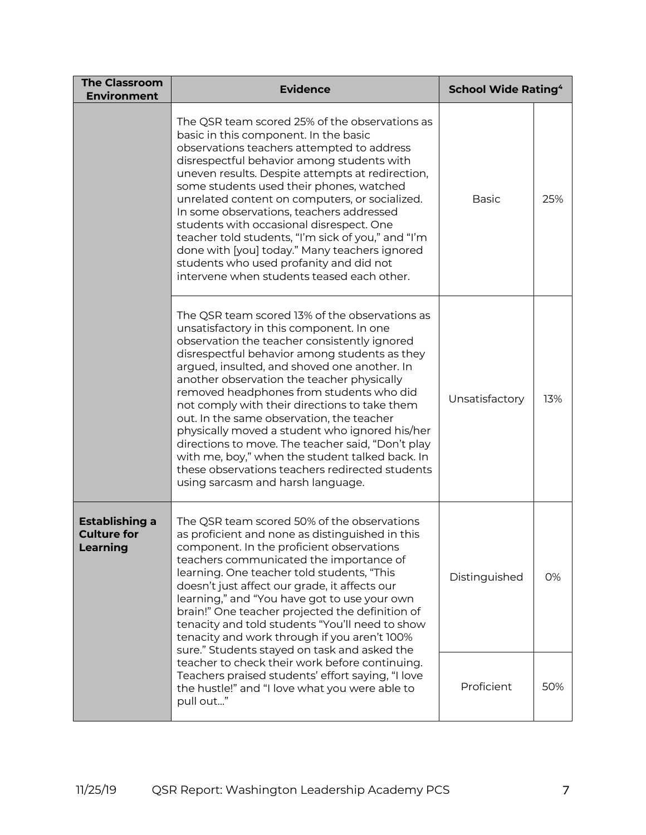| <b>The Classroom</b><br><b>Environment</b>                                                                                                                                                                                                                                                                                                                                                                                                                                                                                                                                                                    | <b>Evidence</b>                                                                                                                                                                                                                                                                                                                                                                                                                                                                                                                                                                                                                                                                       | <b>School Wide Rating<sup>4</sup></b> |     |
|---------------------------------------------------------------------------------------------------------------------------------------------------------------------------------------------------------------------------------------------------------------------------------------------------------------------------------------------------------------------------------------------------------------------------------------------------------------------------------------------------------------------------------------------------------------------------------------------------------------|---------------------------------------------------------------------------------------------------------------------------------------------------------------------------------------------------------------------------------------------------------------------------------------------------------------------------------------------------------------------------------------------------------------------------------------------------------------------------------------------------------------------------------------------------------------------------------------------------------------------------------------------------------------------------------------|---------------------------------------|-----|
|                                                                                                                                                                                                                                                                                                                                                                                                                                                                                                                                                                                                               | The QSR team scored 25% of the observations as<br>basic in this component. In the basic<br>observations teachers attempted to address<br>disrespectful behavior among students with<br>uneven results. Despite attempts at redirection,<br>some students used their phones, watched<br>unrelated content on computers, or socialized.<br>In some observations, teachers addressed<br>students with occasional disrespect. One<br>teacher told students, "I'm sick of you," and "I'm<br>done with [you] today." Many teachers ignored<br>students who used profanity and did not<br>intervene when students teased each other.                                                         | <b>Basic</b>                          | 25% |
|                                                                                                                                                                                                                                                                                                                                                                                                                                                                                                                                                                                                               | The QSR team scored 13% of the observations as<br>unsatisfactory in this component. In one<br>observation the teacher consistently ignored<br>disrespectful behavior among students as they<br>argued, insulted, and shoved one another. In<br>another observation the teacher physically<br>removed headphones from students who did<br>not comply with their directions to take them<br>out. In the same observation, the teacher<br>physically moved a student who ignored his/her<br>directions to move. The teacher said, "Don't play<br>with me, boy," when the student talked back. In<br>these observations teachers redirected students<br>using sarcasm and harsh language. | Unsatisfactory                        | 13% |
| The QSR team scored 50% of the observations<br><b>Establishing a</b><br><b>Culture for</b><br>as proficient and none as distinguished in this<br><b>Learning</b><br>component. In the proficient observations<br>teachers communicated the importance of<br>learning. One teacher told students, "This<br>doesn't just affect our grade, it affects our<br>learning," and "You have got to use your own<br>brain!" One teacher projected the definition of<br>tenacity and told students "You'll need to show<br>tenacity and work through if you aren't 100%<br>sure." Students stayed on task and asked the |                                                                                                                                                                                                                                                                                                                                                                                                                                                                                                                                                                                                                                                                                       | Distinguished                         | 0%  |
|                                                                                                                                                                                                                                                                                                                                                                                                                                                                                                                                                                                                               | teacher to check their work before continuing.<br>Teachers praised students' effort saying, "I love<br>the hustle!" and "I love what you were able to<br>pull out"                                                                                                                                                                                                                                                                                                                                                                                                                                                                                                                    | Proficient                            | 50% |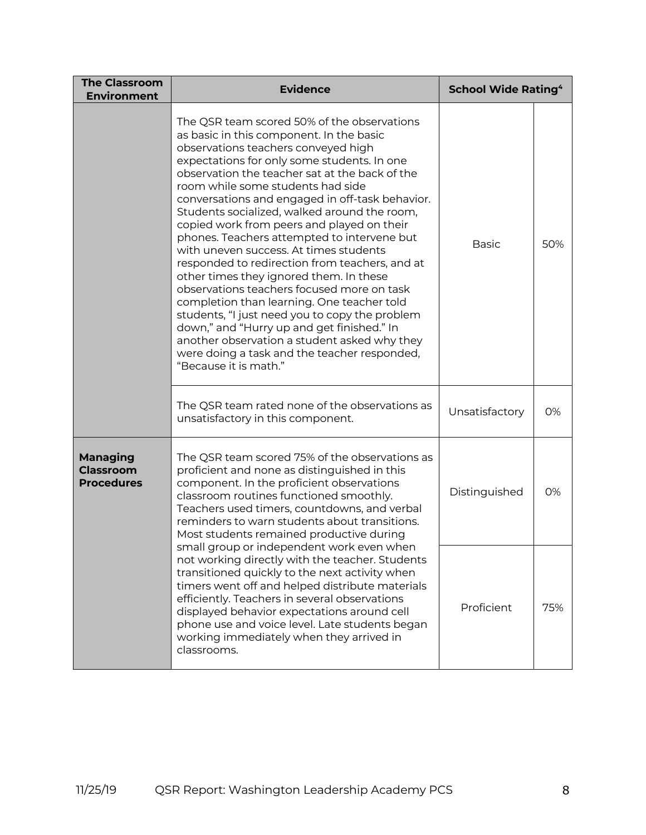| <b>The Classroom</b><br><b>Environment</b>                                                                                                                                                                                                                                                                                                                                                      | <b>Evidence</b>                                                                                                                                                                                                                                                                                                                                                                                                                                                                                                                                                                                                                                                                                                                                                                                                                                                                                                                  | <b>School Wide Rating<sup>4</sup></b> |     |
|-------------------------------------------------------------------------------------------------------------------------------------------------------------------------------------------------------------------------------------------------------------------------------------------------------------------------------------------------------------------------------------------------|----------------------------------------------------------------------------------------------------------------------------------------------------------------------------------------------------------------------------------------------------------------------------------------------------------------------------------------------------------------------------------------------------------------------------------------------------------------------------------------------------------------------------------------------------------------------------------------------------------------------------------------------------------------------------------------------------------------------------------------------------------------------------------------------------------------------------------------------------------------------------------------------------------------------------------|---------------------------------------|-----|
|                                                                                                                                                                                                                                                                                                                                                                                                 | The QSR team scored 50% of the observations<br>as basic in this component. In the basic<br>observations teachers conveyed high<br>expectations for only some students. In one<br>observation the teacher sat at the back of the<br>room while some students had side<br>conversations and engaged in off-task behavior.<br>Students socialized, walked around the room,<br>copied work from peers and played on their<br>phones. Teachers attempted to intervene but<br>with uneven success. At times students<br>responded to redirection from teachers, and at<br>other times they ignored them. In these<br>observations teachers focused more on task<br>completion than learning. One teacher told<br>students, "I just need you to copy the problem<br>down," and "Hurry up and get finished." In<br>another observation a student asked why they<br>were doing a task and the teacher responded,<br>"Because it is math." |                                       | 50% |
|                                                                                                                                                                                                                                                                                                                                                                                                 | The QSR team rated none of the observations as<br>unsatisfactory in this component.                                                                                                                                                                                                                                                                                                                                                                                                                                                                                                                                                                                                                                                                                                                                                                                                                                              | Unsatisfactory                        | 0%  |
| <b>Managing</b><br>The QSR team scored 75% of the observations as<br><b>Classroom</b><br>proficient and none as distinguished in this<br><b>Procedures</b><br>component. In the proficient observations<br>classroom routines functioned smoothly.<br>Teachers used timers, countdowns, and verbal<br>reminders to warn students about transitions.<br>Most students remained productive during |                                                                                                                                                                                                                                                                                                                                                                                                                                                                                                                                                                                                                                                                                                                                                                                                                                                                                                                                  | Distinguished                         | 0%  |
|                                                                                                                                                                                                                                                                                                                                                                                                 | small group or independent work even when<br>not working directly with the teacher. Students<br>transitioned quickly to the next activity when<br>timers went off and helped distribute materials<br>efficiently. Teachers in several observations<br>displayed behavior expectations around cell<br>phone use and voice level. Late students began<br>working immediately when they arrived in<br>classrooms.                                                                                                                                                                                                                                                                                                                                                                                                                                                                                                                   | Proficient                            | 75% |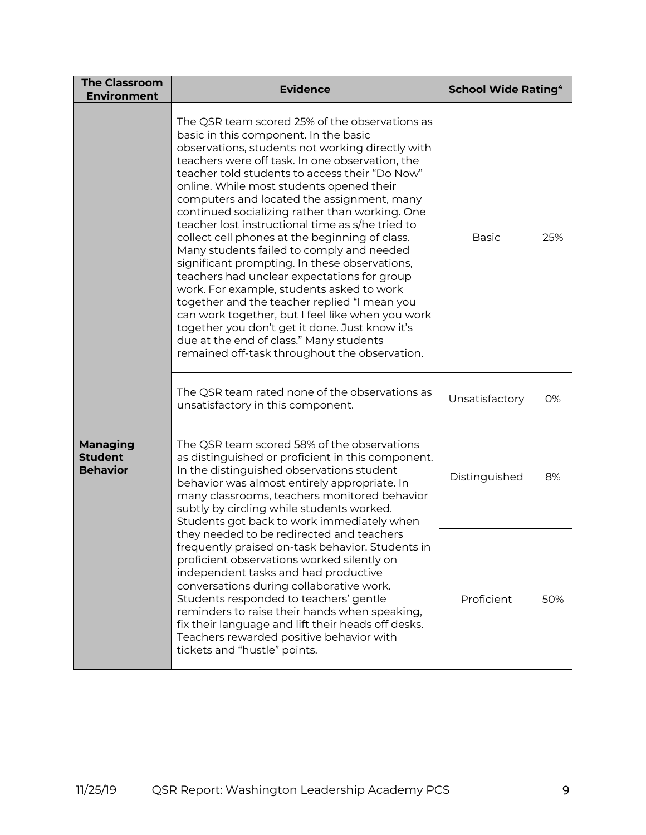| <b>The Classroom</b><br><b>Environment</b>                                                                                                                                                                                                                                                                                                                                                                                                                                                                                                                                                                                                                                                                                                                                                                                                                       | <b>Evidence</b>                                                                                                                                                                                                                                                                                                                                                                                                                                                                                                                                                                                                                                                                                                                                                                                                                                                                                                                                | <b>School Wide Rating<sup>4</sup></b> |     |
|------------------------------------------------------------------------------------------------------------------------------------------------------------------------------------------------------------------------------------------------------------------------------------------------------------------------------------------------------------------------------------------------------------------------------------------------------------------------------------------------------------------------------------------------------------------------------------------------------------------------------------------------------------------------------------------------------------------------------------------------------------------------------------------------------------------------------------------------------------------|------------------------------------------------------------------------------------------------------------------------------------------------------------------------------------------------------------------------------------------------------------------------------------------------------------------------------------------------------------------------------------------------------------------------------------------------------------------------------------------------------------------------------------------------------------------------------------------------------------------------------------------------------------------------------------------------------------------------------------------------------------------------------------------------------------------------------------------------------------------------------------------------------------------------------------------------|---------------------------------------|-----|
|                                                                                                                                                                                                                                                                                                                                                                                                                                                                                                                                                                                                                                                                                                                                                                                                                                                                  | The QSR team scored 25% of the observations as<br>basic in this component. In the basic<br>observations, students not working directly with<br>teachers were off task. In one observation, the<br>teacher told students to access their "Do Now"<br>online. While most students opened their<br>computers and located the assignment, many<br>continued socializing rather than working. One<br>teacher lost instructional time as s/he tried to<br>collect cell phones at the beginning of class.<br>Many students failed to comply and needed<br>significant prompting. In these observations,<br>teachers had unclear expectations for group<br>work. For example, students asked to work<br>together and the teacher replied "I mean you<br>can work together, but I feel like when you work<br>together you don't get it done. Just know it's<br>due at the end of class." Many students<br>remained off-task throughout the observation. | <b>Basic</b>                          | 25% |
|                                                                                                                                                                                                                                                                                                                                                                                                                                                                                                                                                                                                                                                                                                                                                                                                                                                                  | The QSR team rated none of the observations as<br>unsatisfactory in this component.                                                                                                                                                                                                                                                                                                                                                                                                                                                                                                                                                                                                                                                                                                                                                                                                                                                            | Unsatisfactory                        | 0%  |
| The QSR team scored 58% of the observations<br><b>Managing</b><br><b>Student</b><br>as distinguished or proficient in this component.<br><b>Behavior</b><br>In the distinguished observations student<br>behavior was almost entirely appropriate. In<br>many classrooms, teachers monitored behavior<br>subtly by circling while students worked.<br>Students got back to work immediately when<br>they needed to be redirected and teachers<br>frequently praised on-task behavior. Students in<br>proficient observations worked silently on<br>independent tasks and had productive<br>conversations during collaborative work.<br>Students responded to teachers' gentle<br>reminders to raise their hands when speaking,<br>fix their language and lift their heads off desks.<br>Teachers rewarded positive behavior with<br>tickets and "hustle" points. |                                                                                                                                                                                                                                                                                                                                                                                                                                                                                                                                                                                                                                                                                                                                                                                                                                                                                                                                                | Distinguished                         | 8%  |
|                                                                                                                                                                                                                                                                                                                                                                                                                                                                                                                                                                                                                                                                                                                                                                                                                                                                  |                                                                                                                                                                                                                                                                                                                                                                                                                                                                                                                                                                                                                                                                                                                                                                                                                                                                                                                                                | Proficient                            | 50% |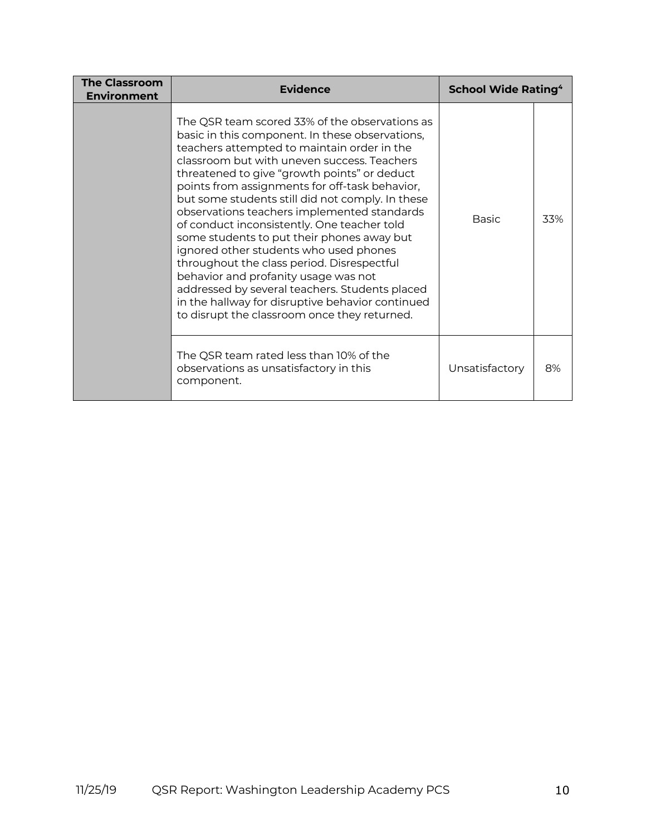| <b>The Classroom</b><br><b>Environment</b> | <b>Evidence</b>                                                                                                                                                                                                                                                                                                                                                                                                                                                                                                                                                                                                                                                                                                                                                                         | <b>School Wide Rating<sup>4</sup></b> |     |
|--------------------------------------------|-----------------------------------------------------------------------------------------------------------------------------------------------------------------------------------------------------------------------------------------------------------------------------------------------------------------------------------------------------------------------------------------------------------------------------------------------------------------------------------------------------------------------------------------------------------------------------------------------------------------------------------------------------------------------------------------------------------------------------------------------------------------------------------------|---------------------------------------|-----|
|                                            | The QSR team scored 33% of the observations as<br>basic in this component. In these observations,<br>teachers attempted to maintain order in the<br>classroom but with uneven success. Teachers<br>threatened to give "growth points" or deduct<br>points from assignments for off-task behavior,<br>but some students still did not comply. In these<br>observations teachers implemented standards<br>of conduct inconsistently. One teacher told<br>some students to put their phones away but<br>ignored other students who used phones<br>throughout the class period. Disrespectful<br>behavior and profanity usage was not<br>addressed by several teachers. Students placed<br>in the hallway for disruptive behavior continued<br>to disrupt the classroom once they returned. | <b>Basic</b>                          | 33% |
|                                            | The QSR team rated less than 10% of the<br>observations as unsatisfactory in this<br>component.                                                                                                                                                                                                                                                                                                                                                                                                                                                                                                                                                                                                                                                                                         | Unsatisfactory                        | 8%  |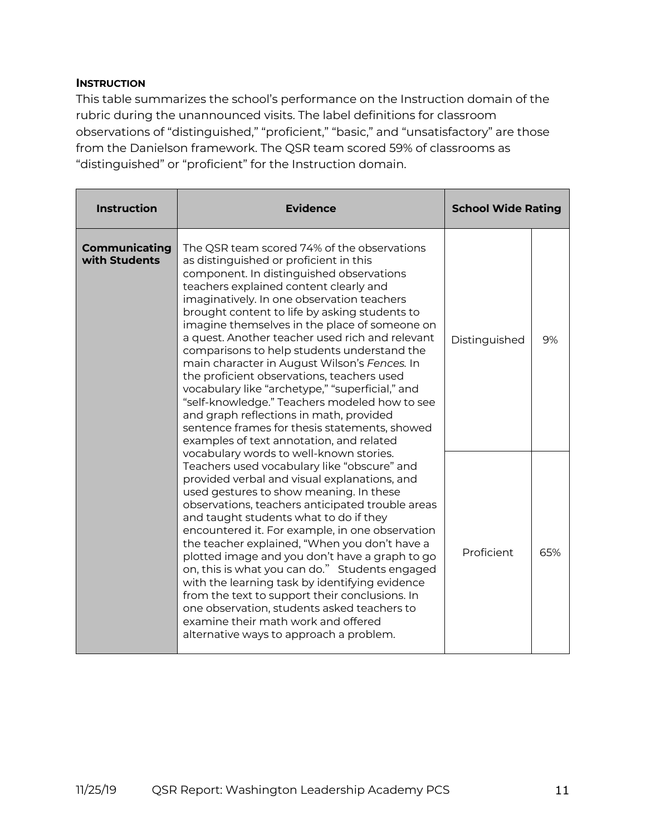#### **INSTRUCTION**

This table summarizes the school's performance on the Instruction domain of the rubric during the unannounced visits. The label definitions for classroom observations of "distinguished," "proficient," "basic," and "unsatisfactory" are those from the Danielson framework. The QSR team scored 59% of classrooms as "distinguished" or "proficient" for the Instruction domain.

| <b>Instruction</b>                                                                                                                                                                                                                                                                                                                                                                                                                                                                                                                                                                                                                                                                                                           | <b>Evidence</b>                                                                                                                                                                                                                                                                                                                                                                                                                                                                                                                                                                                                                                                                                                                                                         | <b>School Wide Rating</b> |    |
|------------------------------------------------------------------------------------------------------------------------------------------------------------------------------------------------------------------------------------------------------------------------------------------------------------------------------------------------------------------------------------------------------------------------------------------------------------------------------------------------------------------------------------------------------------------------------------------------------------------------------------------------------------------------------------------------------------------------------|-------------------------------------------------------------------------------------------------------------------------------------------------------------------------------------------------------------------------------------------------------------------------------------------------------------------------------------------------------------------------------------------------------------------------------------------------------------------------------------------------------------------------------------------------------------------------------------------------------------------------------------------------------------------------------------------------------------------------------------------------------------------------|---------------------------|----|
| <b>Communicating</b><br>with Students                                                                                                                                                                                                                                                                                                                                                                                                                                                                                                                                                                                                                                                                                        | The QSR team scored 74% of the observations<br>as distinguished or proficient in this<br>component. In distinguished observations<br>teachers explained content clearly and<br>imaginatively. In one observation teachers<br>brought content to life by asking students to<br>imagine themselves in the place of someone on<br>a quest. Another teacher used rich and relevant<br>comparisons to help students understand the<br>main character in August Wilson's Fences. In<br>the proficient observations, teachers used<br>vocabulary like "archetype," "superficial," and<br>"self-knowledge." Teachers modeled how to see<br>and graph reflections in math, provided<br>sentence frames for thesis statements, showed<br>examples of text annotation, and related | Distinguished             | 9% |
| vocabulary words to well-known stories.<br>Teachers used vocabulary like "obscure" and<br>provided verbal and visual explanations, and<br>used gestures to show meaning. In these<br>observations, teachers anticipated trouble areas<br>and taught students what to do if they<br>encountered it. For example, in one observation<br>the teacher explained, "When you don't have a<br>plotted image and you don't have a graph to go<br>on, this is what you can do." Students engaged<br>with the learning task by identifying evidence<br>from the text to support their conclusions. In<br>one observation, students asked teachers to<br>examine their math work and offered<br>alternative ways to approach a problem. | Proficient                                                                                                                                                                                                                                                                                                                                                                                                                                                                                                                                                                                                                                                                                                                                                              | 65%                       |    |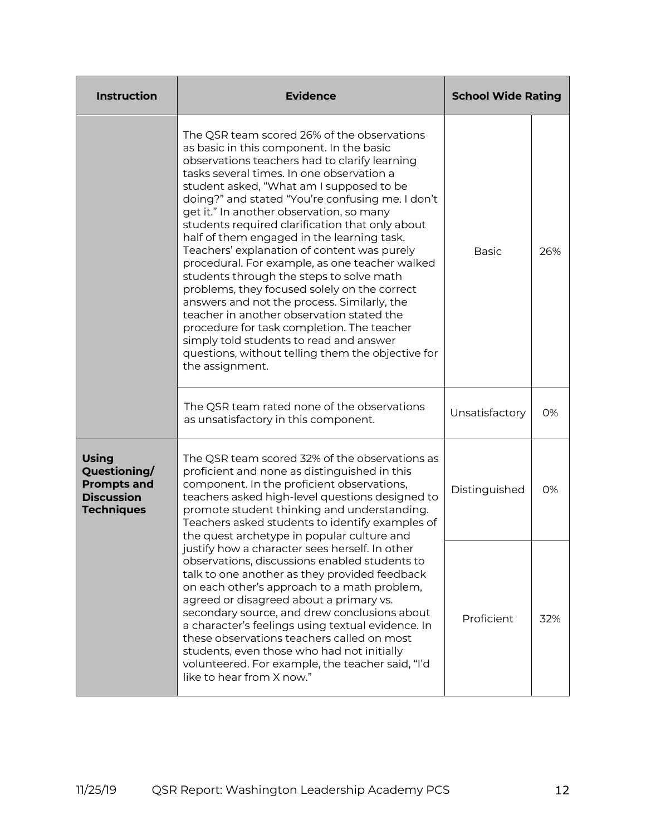| <b>Instruction</b>                                                                           | <b>Evidence</b>                                                                                                                                                                                                                                                                                                                                                                                                                                                                                                                                                                                                                                                                                                                                                                                                                                                                              | <b>School Wide Rating</b> |     |
|----------------------------------------------------------------------------------------------|----------------------------------------------------------------------------------------------------------------------------------------------------------------------------------------------------------------------------------------------------------------------------------------------------------------------------------------------------------------------------------------------------------------------------------------------------------------------------------------------------------------------------------------------------------------------------------------------------------------------------------------------------------------------------------------------------------------------------------------------------------------------------------------------------------------------------------------------------------------------------------------------|---------------------------|-----|
|                                                                                              | The QSR team scored 26% of the observations<br>as basic in this component. In the basic<br>observations teachers had to clarify learning<br>tasks several times. In one observation a<br>student asked, "What am I supposed to be<br>doing?" and stated "You're confusing me. I don't<br>get it." In another observation, so many<br>students required clarification that only about<br>half of them engaged in the learning task.<br>Teachers' explanation of content was purely<br>procedural. For example, as one teacher walked<br>students through the steps to solve math<br>problems, they focused solely on the correct<br>answers and not the process. Similarly, the<br>teacher in another observation stated the<br>procedure for task completion. The teacher<br>simply told students to read and answer<br>questions, without telling them the objective for<br>the assignment. | <b>Basic</b>              | 26% |
| The QSR team rated none of the observations<br>as unsatisfactory in this component.          |                                                                                                                                                                                                                                                                                                                                                                                                                                                                                                                                                                                                                                                                                                                                                                                                                                                                                              | Unsatisfactory            | 0%  |
| <b>Using</b><br>Questioning/<br><b>Prompts and</b><br><b>Discussion</b><br><b>Techniques</b> | The QSR team scored 32% of the observations as<br>proficient and none as distinguished in this<br>component. In the proficient observations,<br>teachers asked high-level questions designed to<br>promote student thinking and understanding.<br>Teachers asked students to identify examples of<br>the quest archetype in popular culture and                                                                                                                                                                                                                                                                                                                                                                                                                                                                                                                                              | Distinguished             | 0%  |
|                                                                                              | justify how a character sees herself. In other<br>observations, discussions enabled students to<br>talk to one another as they provided feedback<br>on each other's approach to a math problem,<br>agreed or disagreed about a primary vs.<br>secondary source, and drew conclusions about<br>a character's feelings using textual evidence. In<br>these observations teachers called on most<br>students, even those who had not initially<br>volunteered. For example, the teacher said, "I'd<br>like to hear from X now."                                                                                                                                                                                                                                                                                                                                                                 | Proficient                | 32% |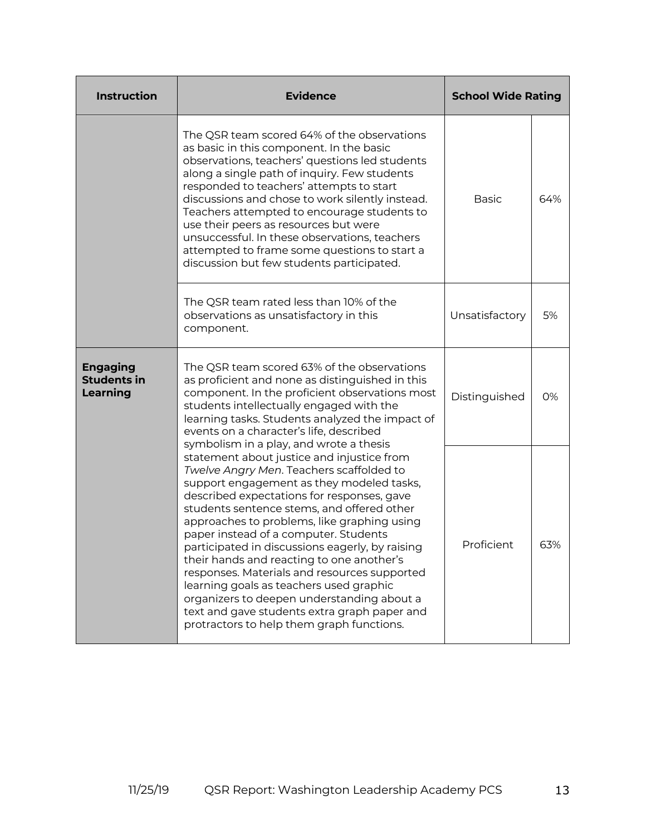| <b>Instruction</b>                                                                                                                                                                                                                                                                                                                                     | <b>Evidence</b>                                                                                                                                                                                                                                                                                                                                                                                                                                                                                                                                                                                                                                                                                          | <b>School Wide Rating</b> |     |
|--------------------------------------------------------------------------------------------------------------------------------------------------------------------------------------------------------------------------------------------------------------------------------------------------------------------------------------------------------|----------------------------------------------------------------------------------------------------------------------------------------------------------------------------------------------------------------------------------------------------------------------------------------------------------------------------------------------------------------------------------------------------------------------------------------------------------------------------------------------------------------------------------------------------------------------------------------------------------------------------------------------------------------------------------------------------------|---------------------------|-----|
|                                                                                                                                                                                                                                                                                                                                                        | The QSR team scored 64% of the observations<br>as basic in this component. In the basic<br>observations, teachers' questions led students<br>along a single path of inquiry. Few students<br>responded to teachers' attempts to start<br>discussions and chose to work silently instead.<br>Teachers attempted to encourage students to<br>use their peers as resources but were<br>unsuccessful. In these observations, teachers<br>attempted to frame some questions to start a<br>discussion but few students participated.                                                                                                                                                                           | <b>Basic</b>              | 64% |
|                                                                                                                                                                                                                                                                                                                                                        | The QSR team rated less than 10% of the<br>observations as unsatisfactory in this<br>component.                                                                                                                                                                                                                                                                                                                                                                                                                                                                                                                                                                                                          | Unsatisfactory            | 5%  |
| The QSR team scored 63% of the observations<br><b>Engaging</b><br><b>Students in</b><br>as proficient and none as distinguished in this<br>component. In the proficient observations most<br><b>Learning</b><br>students intellectually engaged with the<br>learning tasks. Students analyzed the impact of<br>events on a character's life, described |                                                                                                                                                                                                                                                                                                                                                                                                                                                                                                                                                                                                                                                                                                          | Distinguished             | 0%  |
|                                                                                                                                                                                                                                                                                                                                                        | symbolism in a play, and wrote a thesis<br>statement about justice and injustice from<br>Twelve Angry Men. Teachers scaffolded to<br>support engagement as they modeled tasks,<br>described expectations for responses, gave<br>students sentence stems, and offered other<br>approaches to problems, like graphing using<br>paper instead of a computer. Students<br>participated in discussions eagerly, by raising<br>their hands and reacting to one another's<br>responses. Materials and resources supported<br>learning goals as teachers used graphic<br>organizers to deepen understanding about a<br>text and gave students extra graph paper and<br>protractors to help them graph functions. |                           | 63% |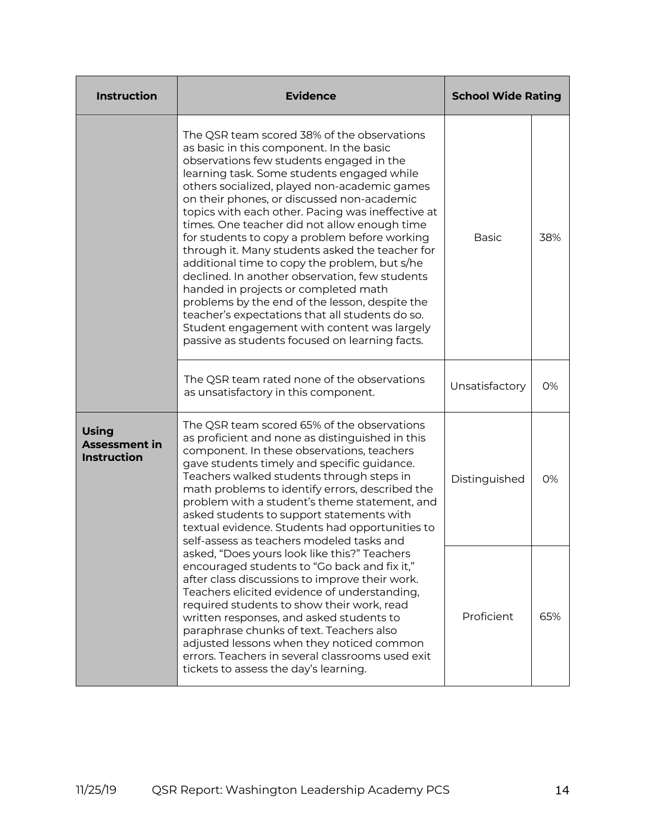| <b>Instruction</b>                                         | <b>Evidence</b>                                                                                                                                                                                                                                                                                                                                                                                                                                                                                                                                                                                                                                                                                                                                                                                                                           | <b>School Wide Rating</b> |     |
|------------------------------------------------------------|-------------------------------------------------------------------------------------------------------------------------------------------------------------------------------------------------------------------------------------------------------------------------------------------------------------------------------------------------------------------------------------------------------------------------------------------------------------------------------------------------------------------------------------------------------------------------------------------------------------------------------------------------------------------------------------------------------------------------------------------------------------------------------------------------------------------------------------------|---------------------------|-----|
|                                                            | The QSR team scored 38% of the observations<br>as basic in this component. In the basic<br>observations few students engaged in the<br>learning task. Some students engaged while<br>others socialized, played non-academic games<br>on their phones, or discussed non-academic<br>topics with each other. Pacing was ineffective at<br>times. One teacher did not allow enough time<br>for students to copy a problem before working<br>through it. Many students asked the teacher for<br>additional time to copy the problem, but s/he<br>declined. In another observation, few students<br>handed in projects or completed math<br>problems by the end of the lesson, despite the<br>teacher's expectations that all students do so.<br>Student engagement with content was largely<br>passive as students focused on learning facts. |                           | 38% |
|                                                            | The QSR team rated none of the observations<br>as unsatisfactory in this component.                                                                                                                                                                                                                                                                                                                                                                                                                                                                                                                                                                                                                                                                                                                                                       | Unsatisfactory            | 0%  |
| <b>Using</b><br><b>Assessment in</b><br><b>Instruction</b> | The QSR team scored 65% of the observations<br>as proficient and none as distinguished in this<br>component. In these observations, teachers<br>gave students timely and specific guidance.<br>Teachers walked students through steps in<br>math problems to identify errors, described the<br>problem with a student's theme statement, and<br>asked students to support statements with<br>textual evidence. Students had opportunities to<br>self-assess as teachers modeled tasks and                                                                                                                                                                                                                                                                                                                                                 | Distinguished             | 0%  |
|                                                            | asked, "Does yours look like this?" Teachers<br>encouraged students to "Go back and fix it,"<br>after class discussions to improve their work.<br>Teachers elicited evidence of understanding,<br>required students to show their work, read<br>written responses, and asked students to<br>paraphrase chunks of text. Teachers also<br>adjusted lessons when they noticed common<br>errors. Teachers in several classrooms used exit<br>tickets to assess the day's learning.                                                                                                                                                                                                                                                                                                                                                            | Proficient                | 65% |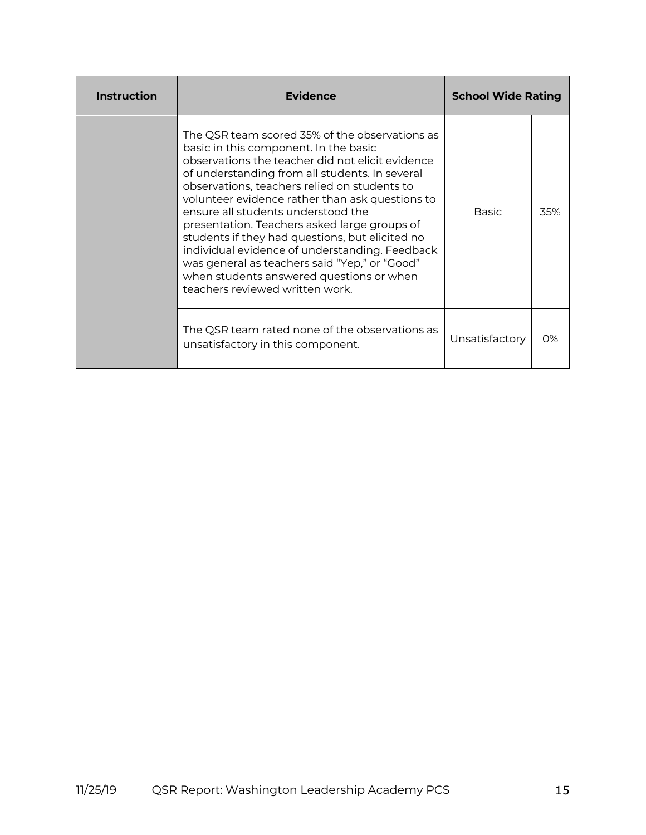| <b>Instruction</b> | <b>Evidence</b>                                                                                                                                                                                                                                                                                                                                                                                                                                                                                                                                                                                                             | <b>School Wide Rating</b> |       |
|--------------------|-----------------------------------------------------------------------------------------------------------------------------------------------------------------------------------------------------------------------------------------------------------------------------------------------------------------------------------------------------------------------------------------------------------------------------------------------------------------------------------------------------------------------------------------------------------------------------------------------------------------------------|---------------------------|-------|
|                    | The QSR team scored 35% of the observations as<br>basic in this component. In the basic<br>observations the teacher did not elicit evidence<br>of understanding from all students. In several<br>observations, teachers relied on students to<br>volunteer evidence rather than ask questions to<br>ensure all students understood the<br>presentation. Teachers asked large groups of<br>students if they had questions, but elicited no<br>individual evidence of understanding. Feedback<br>was general as teachers said "Yep," or "Good"<br>when students answered questions or when<br>teachers reviewed written work. | <b>Basic</b>              | 35%   |
|                    | The QSR team rated none of the observations as<br>unsatisfactory in this component.                                                                                                                                                                                                                                                                                                                                                                                                                                                                                                                                         | Unsatisfactory            | $O\%$ |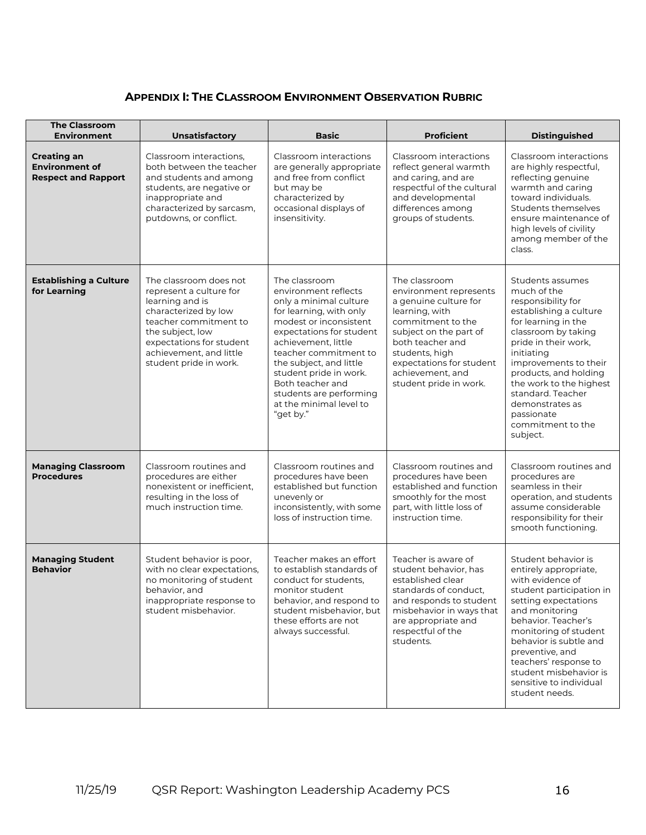#### **APPENDIX I: THE CLASSROOM ENVIRONMENT OBSERVATION RUBRIC**

| <b>The Classroom</b><br><b>Environment</b>                                | <b>Unsatisfactory</b>                                                                                                                                                                                                      | <b>Basic</b>                                                                                                                                                                                                                                                                                                                                 | <b>Proficient</b>                                                                                                                                                                                                                                 | <b>Distinguished</b>                                                                                                                                                                                                                                                                                                                    |
|---------------------------------------------------------------------------|----------------------------------------------------------------------------------------------------------------------------------------------------------------------------------------------------------------------------|----------------------------------------------------------------------------------------------------------------------------------------------------------------------------------------------------------------------------------------------------------------------------------------------------------------------------------------------|---------------------------------------------------------------------------------------------------------------------------------------------------------------------------------------------------------------------------------------------------|-----------------------------------------------------------------------------------------------------------------------------------------------------------------------------------------------------------------------------------------------------------------------------------------------------------------------------------------|
| <b>Creating an</b><br><b>Environment of</b><br><b>Respect and Rapport</b> | Classroom interactions,<br>both between the teacher<br>and students and among<br>students, are negative or<br>inappropriate and<br>characterized by sarcasm,<br>putdowns, or conflict.                                     | Classroom interactions<br>are generally appropriate<br>and free from conflict<br>but may be<br>characterized by<br>occasional displays of<br>insensitivity.                                                                                                                                                                                  | Classroom interactions<br>reflect general warmth<br>and caring, and are<br>respectful of the cultural<br>and developmental<br>differences among<br>groups of students.                                                                            | Classroom interactions<br>are highly respectful,<br>reflecting genuine<br>warmth and caring<br>toward individuals.<br>Students themselves<br>ensure maintenance of<br>high levels of civility<br>among member of the<br>class.                                                                                                          |
| <b>Establishing a Culture</b><br>for Learning                             | The classroom does not<br>represent a culture for<br>learning and is<br>characterized by low<br>teacher commitment to<br>the subject, low<br>expectations for student<br>achievement, and little<br>student pride in work. | The classroom<br>environment reflects<br>only a minimal culture<br>for learning, with only<br>modest or inconsistent<br>expectations for student<br>achievement, little<br>teacher commitment to<br>the subject, and little<br>student pride in work.<br>Both teacher and<br>students are performing<br>at the minimal level to<br>"get by." | The classroom<br>environment represents<br>a genuine culture for<br>learning, with<br>commitment to the<br>subject on the part of<br>both teacher and<br>students, high<br>expectations for student<br>achievement, and<br>student pride in work. | Students assumes<br>much of the<br>responsibility for<br>establishing a culture<br>for learning in the<br>classroom by taking<br>pride in their work,<br>initiating<br>improvements to their<br>products, and holding<br>the work to the highest<br>standard. Teacher<br>demonstrates as<br>passionate<br>commitment to the<br>subject. |
| <b>Managing Classroom</b><br><b>Procedures</b>                            | Classroom routines and<br>procedures are either<br>nonexistent or inefficient,<br>resulting in the loss of<br>much instruction time.                                                                                       | Classroom routines and<br>procedures have been<br>established but function<br>unevenly or<br>inconsistently, with some<br>loss of instruction time.                                                                                                                                                                                          | Classroom routines and<br>procedures have been<br>established and function<br>smoothly for the most<br>part, with little loss of<br>instruction time.                                                                                             | Classroom routines and<br>procedures are<br>seamless in their<br>operation, and students<br>assume considerable<br>responsibility for their<br>smooth functioning.                                                                                                                                                                      |
| <b>Managing Student</b><br><b>Behavior</b>                                | Student behavior is poor,<br>with no clear expectations,<br>no monitoring of student<br>behavior, and<br>inappropriate response to<br>student misbehavior.                                                                 | Teacher makes an effort<br>to establish standards of<br>conduct for students,<br>monitor student<br>behavior, and respond to<br>student misbehavior, but<br>these efforts are not<br>always successful.                                                                                                                                      | Teacher is aware of<br>student behavior, has<br>established clear<br>standards of conduct,<br>and responds to student<br>misbehavior in ways that<br>are appropriate and<br>respectful of the<br>students.                                        | Student behavior is<br>entirely appropriate,<br>with evidence of<br>student participation in<br>setting expectations<br>and monitoring<br>behavior. Teacher's<br>monitoring of student<br>behavior is subtle and<br>preventive, and<br>teachers' response to<br>student misbehavior is<br>sensitive to individual<br>student needs.     |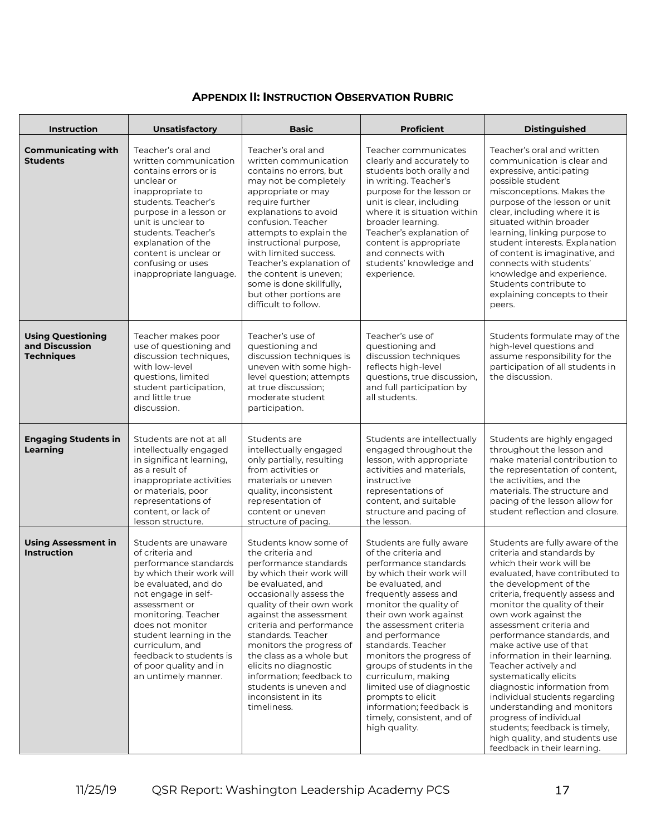#### **APPENDIX II: INSTRUCTION OBSERVATION RUBRIC**

| <b>Instruction</b>                                              | <b>Unsatisfactory</b>                                                                                                                                                                                                                                                                                                             | <b>Basic</b>                                                                                                                                                                                                                                                                                                                                                                                                                         | <b>Proficient</b>                                                                                                                                                                                                                                                                                                                                                                                                                                                                      | <b>Distinguished</b>                                                                                                                                                                                                                                                                                                                                                                                                                                                                                                                                                                                                                              |
|-----------------------------------------------------------------|-----------------------------------------------------------------------------------------------------------------------------------------------------------------------------------------------------------------------------------------------------------------------------------------------------------------------------------|--------------------------------------------------------------------------------------------------------------------------------------------------------------------------------------------------------------------------------------------------------------------------------------------------------------------------------------------------------------------------------------------------------------------------------------|----------------------------------------------------------------------------------------------------------------------------------------------------------------------------------------------------------------------------------------------------------------------------------------------------------------------------------------------------------------------------------------------------------------------------------------------------------------------------------------|---------------------------------------------------------------------------------------------------------------------------------------------------------------------------------------------------------------------------------------------------------------------------------------------------------------------------------------------------------------------------------------------------------------------------------------------------------------------------------------------------------------------------------------------------------------------------------------------------------------------------------------------------|
| <b>Communicating with</b><br><b>Students</b>                    | Teacher's oral and<br>written communication<br>contains errors or is<br>unclear or<br>inappropriate to<br>students. Teacher's<br>purpose in a lesson or<br>unit is unclear to<br>students. Teacher's<br>explanation of the<br>content is unclear or<br>confusing or uses<br>inappropriate language.                               | Teacher's oral and<br>written communication<br>contains no errors, but<br>may not be completely<br>appropriate or may<br>require further<br>explanations to avoid<br>confusion. Teacher<br>attempts to explain the<br>instructional purpose,<br>with limited success.<br>Teacher's explanation of<br>the content is uneven;<br>some is done skillfully,<br>but other portions are<br>difficult to follow.                            | Teacher communicates<br>clearly and accurately to<br>students both orally and<br>in writing. Teacher's<br>purpose for the lesson or<br>unit is clear, including<br>where it is situation within<br>broader learning.<br>Teacher's explanation of<br>content is appropriate<br>and connects with<br>students' knowledge and<br>experience.                                                                                                                                              | Teacher's oral and written<br>communication is clear and<br>expressive, anticipating<br>possible student<br>misconceptions. Makes the<br>purpose of the lesson or unit<br>clear, including where it is<br>situated within broader<br>learning, linking purpose to<br>student interests. Explanation<br>of content is imaginative, and<br>connects with students'<br>knowledge and experience.<br>Students contribute to<br>explaining concepts to their<br>peers.                                                                                                                                                                                 |
| <b>Using Questioning</b><br>and Discussion<br><b>Techniques</b> | Teacher makes poor<br>use of questioning and<br>discussion techniques,<br>with low-level<br>questions, limited<br>student participation,<br>and little true<br>discussion.                                                                                                                                                        | Teacher's use of<br>questioning and<br>discussion techniques is<br>uneven with some high-<br>level question; attempts<br>at true discussion:<br>moderate student<br>participation.                                                                                                                                                                                                                                                   | Teacher's use of<br>questioning and<br>discussion techniques<br>reflects high-level<br>questions, true discussion,<br>and full participation by<br>all students.                                                                                                                                                                                                                                                                                                                       | Students formulate may of the<br>high-level questions and<br>assume responsibility for the<br>participation of all students in<br>the discussion.                                                                                                                                                                                                                                                                                                                                                                                                                                                                                                 |
| <b>Engaging Students in</b><br>Learning                         | Students are not at all<br>intellectually engaged<br>in significant learning,<br>as a result of<br>inappropriate activities<br>or materials, poor<br>representations of<br>content, or lack of<br>lesson structure.                                                                                                               | Students are<br>intellectually engaged<br>only partially, resulting<br>from activities or<br>materials or uneven<br>quality, inconsistent<br>representation of<br>content or uneven<br>structure of pacing.                                                                                                                                                                                                                          | Students are intellectually<br>engaged throughout the<br>lesson, with appropriate<br>activities and materials,<br>instructive<br>representations of<br>content, and suitable<br>structure and pacing of<br>the lesson.                                                                                                                                                                                                                                                                 | Students are highly engaged<br>throughout the lesson and<br>make material contribution to<br>the representation of content,<br>the activities, and the<br>materials. The structure and<br>pacing of the lesson allow for<br>student reflection and closure.                                                                                                                                                                                                                                                                                                                                                                                       |
| <b>Using Assessment in</b><br><b>Instruction</b>                | Students are unaware<br>of criteria and<br>performance standards<br>by which their work will<br>be evaluated, and do<br>not engage in self-<br>assessment or<br>monitoring. Teacher<br>does not monitor<br>student learning in the<br>curriculum, and<br>feedback to students is<br>of poor quality and in<br>an untimely manner. | Students know some of<br>the criteria and<br>performance standards<br>by which their work will<br>be evaluated, and<br>occasionally assess the<br>quality of their own work<br>against the assessment<br>criteria and performance<br>standards. Teacher<br>monitors the progress of<br>the class as a whole but<br>elicits no diagnostic<br>information; feedback to<br>students is uneven and<br>inconsistent in its<br>timeliness. | Students are fully aware<br>of the criteria and<br>performance standards<br>by which their work will<br>be evaluated, and<br>frequently assess and<br>monitor the quality of<br>their own work against<br>the assessment criteria<br>and performance<br>standards. Teacher<br>monitors the progress of<br>groups of students in the<br>curriculum, making<br>limited use of diagnostic<br>prompts to elicit<br>information; feedback is<br>timely, consistent, and of<br>high quality. | Students are fully aware of the<br>criteria and standards by<br>which their work will be<br>evaluated, have contributed to<br>the development of the<br>criteria, frequently assess and<br>monitor the quality of their<br>own work against the<br>assessment criteria and<br>performance standards, and<br>make active use of that<br>information in their learning.<br>Teacher actively and<br>systematically elicits<br>diagnostic information from<br>individual students regarding<br>understanding and monitors<br>progress of individual<br>students; feedback is timely,<br>high quality, and students use<br>feedback in their learning. |